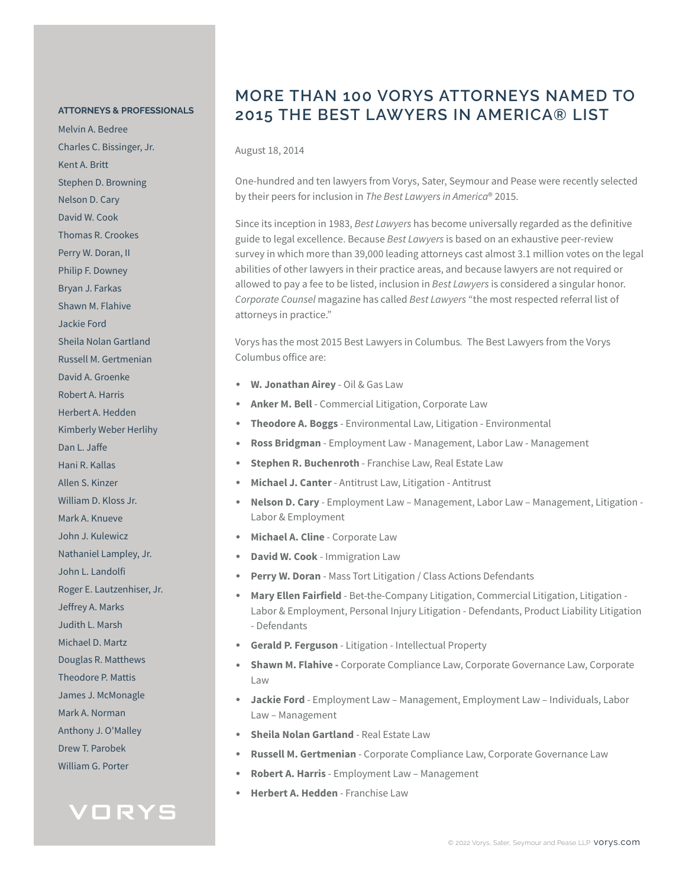#### **ATTORNEYS & PROFESSIONALS**

Melvin A. Bedree Charles C. Bissinger, Jr. Kent A. Britt Stephen D. Browning Nelson D. Cary David W. Cook Thomas R. Crookes Perry W. Doran, II Philip F. Downey Bryan J. Farkas Shawn M. Flahive Jackie Ford Sheila Nolan Gartland Russell M. Gertmenian David A. Groenke Robert A. Harris Herbert A. Hedden Kimberly Weber Herlihy Dan L. Jaffe Hani R. Kallas Allen S. Kinzer William D. Kloss Jr. Mark A. Knueve John J. Kulewicz Nathaniel Lampley, Jr. John L. Landolfi Roger E. Lautzenhiser, Jr. Jeffrey A. Marks Judith L. Marsh Michael D. Martz Douglas R. Matthews Theodore P. Mattis James J. McMonagle Mark A. Norman Anthony J. O'Malley Drew T. Parobek William G. Porter



### **MORE THAN 100 VORYS ATTORNEYS NAMED TO 2015 THE BEST LAWYERS IN AMERICA® LIST**

August 18, 2014

One-hundred and ten lawyers from Vorys, Sater, Seymour and Pease were recently selected by their peers for inclusion in *The Best Lawyers in America*® 2015.

Since its inception in 1983, *Best Lawyers* has become universally regarded as the definitive guide to legal excellence. Because *Best Lawyers* is based on an exhaustive peer-review survey in which more than 39,000 leading attorneys cast almost 3.1 million votes on the legal abilities of other lawyers in their practice areas, and because lawyers are not required or allowed to pay a fee to be listed, inclusion in *Best Lawyers* is considered a singular honor. *Corporate Counsel* magazine has called *Best Lawyers* "the most respected referral list of attorneys in practice."

Vorys has the most 2015 Best Lawyers in Columbus*.* The Best Lawyers from the Vorys Columbus office are:

- **W. Jonathan Airey** Oil & Gas Law
- Anker M. Bell Commercial Litigation, Corporate Law
- **Theodore A. Boggs** Environmental Law, Litigation Environmental
- **Ross Bridgman** Employment Law Management, Labor Law Management
- **Stephen R. Buchenroth** Franchise Law, Real Estate Law
- **Michael J. Canter** Antitrust Law, Litigation Antitrust
- **Nelson D. Cary** Employment Law Management, Labor Law Management, Litigation Labor & Employment
- **Michael A. Cline** Corporate Law
- **David W. Cook Immigration Law**
- Perry W. Doran Mass Tort Litigation / Class Actions Defendants
- Mary Ellen Fairfield Bet-the-Company Litigation, Commercial Litigation, Litigation -Labor & Employment, Personal Injury Litigation - Defendants, Product Liability Litigation - Defendants
- **Gerald P. Ferguson**  Litigation Intellectual Property
- **Shawn M. Flahive -** Corporate Compliance Law, Corporate Governance Law, Corporate Law
- **Jackie Ford** Employment Law Management, Employment Law Individuals, Labor Law – Management
- **Sheila Nolan Gartland Real Estate Law**
- **Russell M. Gertmenian** Corporate Compliance Law, Corporate Governance Law
- **Robert A. Harris**  Employment Law Management
- **Herbert A. Hedden** Franchise Law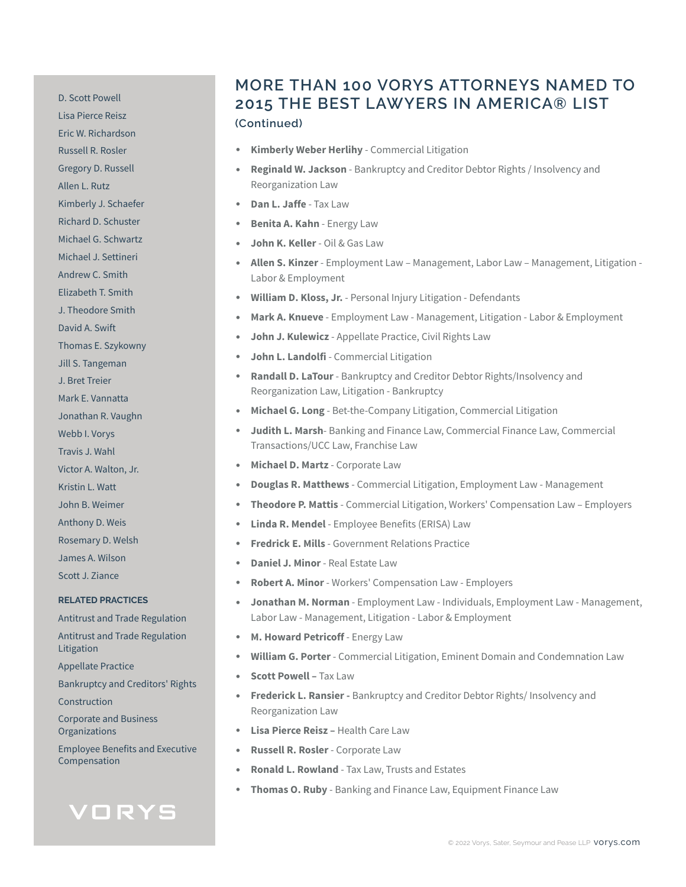D. Scott Powell Lisa Pierce Reisz Eric W. Richardson Russell R. Rosler Gregory D. Russell Allen L. Rutz Kimberly J. Schaefer Richard D. Schuster Michael G. Schwartz Michael J. Settineri Andrew C. Smith Elizabeth T. Smith J. Theodore Smith David A. Swift Thomas E. Szykowny Jill S. Tangeman J. Bret Treier Mark E. Vannatta Jonathan R. Vaughn Webb I. Vorys Travis J. Wahl Victor A. Walton, Jr. Kristin L. Watt John B. Weimer Anthony D. Weis Rosemary D. Welsh James A. Wilson Scott J. Ziance **RELATED PRACTICES** Antitrust and Trade Regulation Antitrust and Trade Regulation Litigation Appellate Practice Bankruptcy and Creditors' Rights Construction Corporate and Business Organizations

Employee Benefits and Executive Compensation

# VORYS

### **MORE THAN 100 VORYS ATTORNEYS NAMED TO 2015 THE BEST LAWYERS IN AMERICA® LIST (Continued)**

- **Kimberly Weber Herlihy Commercial Litigation**
- **Reginald W. Jackson** Bankruptcy and Creditor Debtor Rights / Insolvency and Reorganization Law
- **Dan L. Jaffe** Tax Law
- **Benita A. Kahn** Energy Law
- **John K. Keller** Oil & Gas Law
- **Allen S. Kinzer** Employment Law Management, Labor Law Management, Litigation Labor & Employment
- William D. Kloss, Jr. Personal Injury Litigation Defendants
- Mark A. Knueve Employment Law Management, Litigation Labor & Employment
- **John J. Kulewicz** Appellate Practice, Civil Rights Law
- **John L. Landolfi** Commercial Litigation
- **Randall D. LaTour** Bankruptcy and Creditor Debtor Rights/Insolvency and Reorganization Law, Litigation - Bankruptcy
- **Michael G. Long** Bet-the-Company Litigation, Commercial Litigation
- **Judith L. Marsh** Banking and Finance Law, Commercial Finance Law, Commercial Transactions/UCC Law, Franchise Law
- **Michael D. Martz Corporate Law**
- **Douglas R. Matthews**  Commercial Litigation, Employment Law Management
- **Theodore P. Mattis**  Commercial Litigation, Workers' Compensation Law Employers
- **Linda R. Mendel** Employee Benefits (ERISA) Law
- **Fredrick E. Mills** Government Relations Practice
- **Daniel J. Minor Real Estate Law**
- **Robert A. Minor** Workers' Compensation Law Employers
- **Jonathan M. Norman** Employment Law Individuals, Employment Law Management, Labor Law - Management, Litigation - Labor & Employment
- **M. Howard Petricoff** Energy Law
- **William G. Porter** Commercial Litigation, Eminent Domain and Condemnation Law
- **Scott Powell –** Tax Law
- **Frederick L. Ransier -** Bankruptcy and Creditor Debtor Rights/ Insolvency and Reorganization Law
- **Lisa Pierce Reisz** Health Care Law
- **Russell R. Rosler** Corporate Law
- **Ronald L. Rowland** Tax Law, Trusts and Estates
- **Thomas O. Ruby** Banking and Finance Law, Equipment Finance Law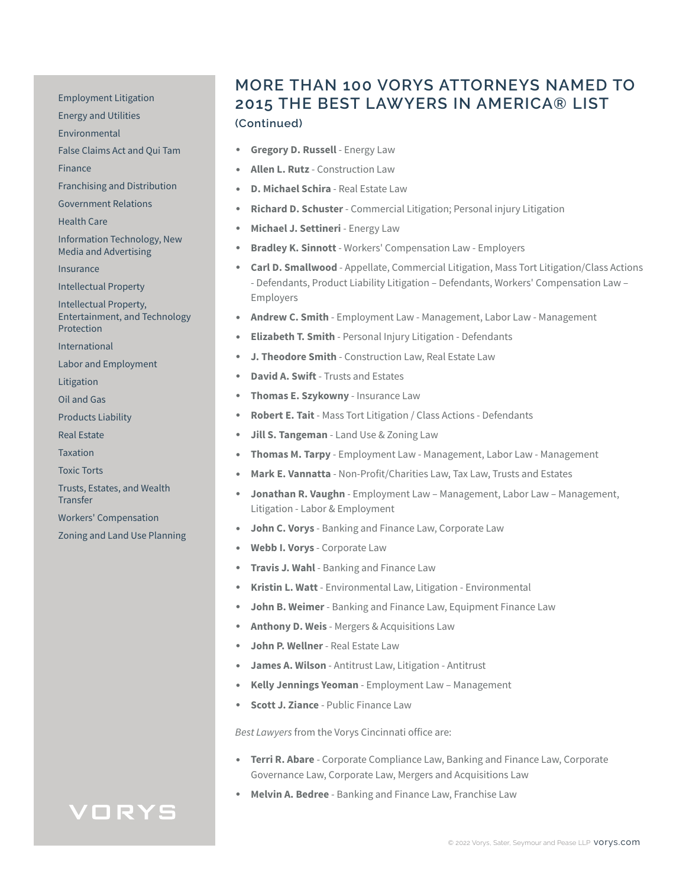Employment Litigation

Energy and Utilities

Environmental

False Claims Act and Qui Tam

Finance

Franchising and Distribution

Government Relations

Health Care

Information Technology, New Media and Advertising

Insurance

Intellectual Property

Intellectual Property, Entertainment, and Technology Protection

International

Labor and Employment

Litigation

Oil and Gas

Products Liability

Real Estate

**Taxation** 

Toxic Torts

Trusts, Estates, and Wealth **Transfer** 

Workers' Compensation

Zoning and Land Use Planning

#### **MORE THAN 100 VORYS ATTORNEYS NAMED TO 2015 THE BEST LAWYERS IN AMERICA® LIST (Continued)**

- **Gregory D. Russell Energy Law**
- **Allen L. Rutz**  Construction Law
- **D. Michael Schira** Real Estate Law
- **Richard D. Schuster** Commercial Litigation; Personal injury Litigation
- **Michael J. Settineri Energy Law**
- **Bradley K. Sinnott** Workers' Compensation Law Employers
- **Carl D. Smallwood** Appellate, Commercial Litigation, Mass Tort Litigation/Class Actions - Defendants, Product Liability Litigation – Defendants, Workers' Compensation Law – Employers
- **Andrew C. Smith**  Employment Law Management, Labor Law Management
- **Elizabeth T. Smith Personal Injury Litigation Defendants**
- **J. Theodore Smith** Construction Law, Real Estate Law
- **David A. Swift** Trusts and Estates
- **Thomas E. Szykowny Insurance Law**
- **Robert E. Tait** Mass Tort Litigation / Class Actions Defendants
- **Jill S. Tangeman** Land Use & Zoning Law
- **Thomas M. Tarpy** Employment Law Management, Labor Law Management
- Mark E. Vannatta Non-Profit/Charities Law, Tax Law, Trusts and Estates
- **Jonathan R. Vaughn** Employment Law Management, Labor Law Management, Litigation - Labor & Employment
- **John C. Vorys** Banking and Finance Law, Corporate Law
- Webb I. Vorys Corporate Law
- **Travis J. Wahl** Banking and Finance Law
- **Kristin L. Watt** Environmental Law, Litigation Environmental
- **John B. Weimer** Banking and Finance Law, Equipment Finance Law
- Anthony D. Weis Mergers & Acquisitions Law
- **John P. Wellner** Real Estate Law
- **James A. Wilson** Antitrust Law, Litigation Antitrust
- **Kelly Jennings Yeoman** Employment Law Management
- **Scott J. Ziance Public Finance Law**

*Best Lawyers* from the Vorys Cincinnati office are:

- **Terri R. Abare**  Corporate Compliance Law, Banking and Finance Law, Corporate Governance Law, Corporate Law, Mergers and Acquisitions Law
- **Melvin A. Bedree** Banking and Finance Law, Franchise Law

## VORYS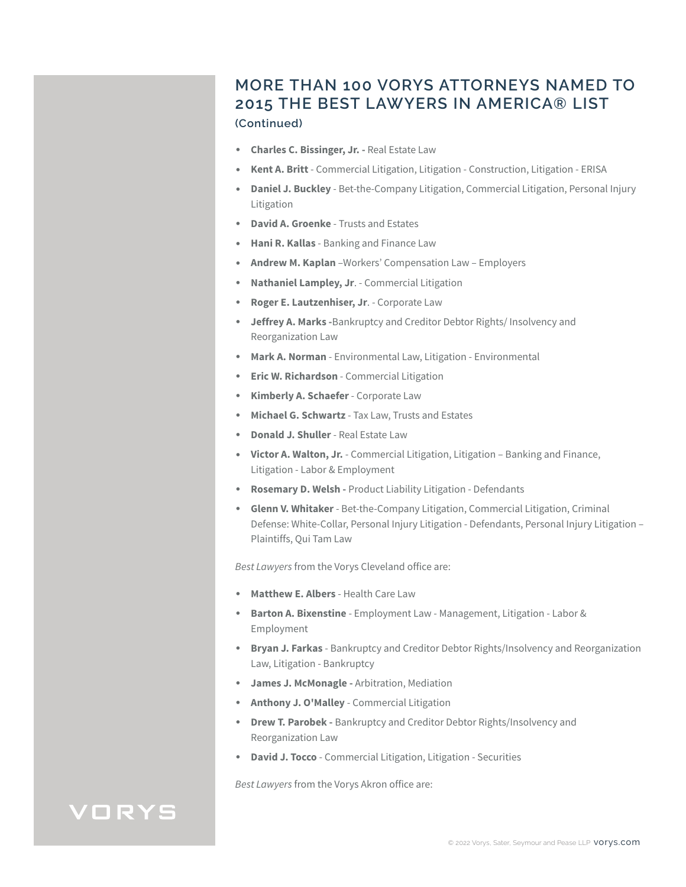#### **MORE THAN 100 VORYS ATTORNEYS NAMED TO 2015 THE BEST LAWYERS IN AMERICA® LIST (Continued)**

- **Charles C. Bissinger, Jr. -** Real Estate Law
- **Kent A. Britt** Commercial Litigation, Litigation Construction, Litigation ERISA
- **Daniel J. Buckley**  Bet-the-Company Litigation, Commercial Litigation, Personal Injury Litigation
- **David A. Groenke**  Trusts and Estates
- **Hani R. Kallas**  Banking and Finance Law
- **Andrew M. Kaplan** –Workers' Compensation Law Employers
- **Nathaniel Lampley, Jr**. Commercial Litigation
- Roger E. Lautzenhiser, Jr. Corporate Law
- **Jeffrey A. Marks -**Bankruptcy and Creditor Debtor Rights/ Insolvency and Reorganization Law
- **Mark A. Norman**  Environmental Law, Litigation Environmental
- **Eric W. Richardson** Commercial Litigation
- **Kimberly A. Schaefer** Corporate Law
- **Michael G. Schwartz**  Tax Law, Trusts and Estates
- **Donald J. Shuller**  Real Estate Law
- **Victor A. Walton, Jr.**  Commercial Litigation, Litigation Banking and Finance, Litigation - Labor & Employment
- **Rosemary D. Welsh** Product Liability Litigation Defendants
- **Glenn V. Whitaker**  Bet-the-Company Litigation, Commercial Litigation, Criminal Defense: White-Collar, Personal Injury Litigation - Defendants, Personal Injury Litigation – Plaintiffs, Qui Tam Law

*Best Lawyers* from the Vorys Cleveland office are:

- **Matthew E. Albers** Health Care Law
- **Barton A. Bixenstine**  Employment Law Management, Litigation Labor & Employment
- **Bryan J. Farkas**  Bankruptcy and Creditor Debtor Rights/Insolvency and Reorganization Law, Litigation - Bankruptcy
- **James J. McMonagle -** Arbitration, Mediation
- **Anthony J. O'Malley**  Commercial Litigation
- **Drew T. Parobek -** Bankruptcy and Creditor Debtor Rights/Insolvency and Reorganization Law
- **David J. Tocco**  Commercial Litigation, Litigation Securities

*Best Lawyers* from the Vorys Akron office are:

## VORYS